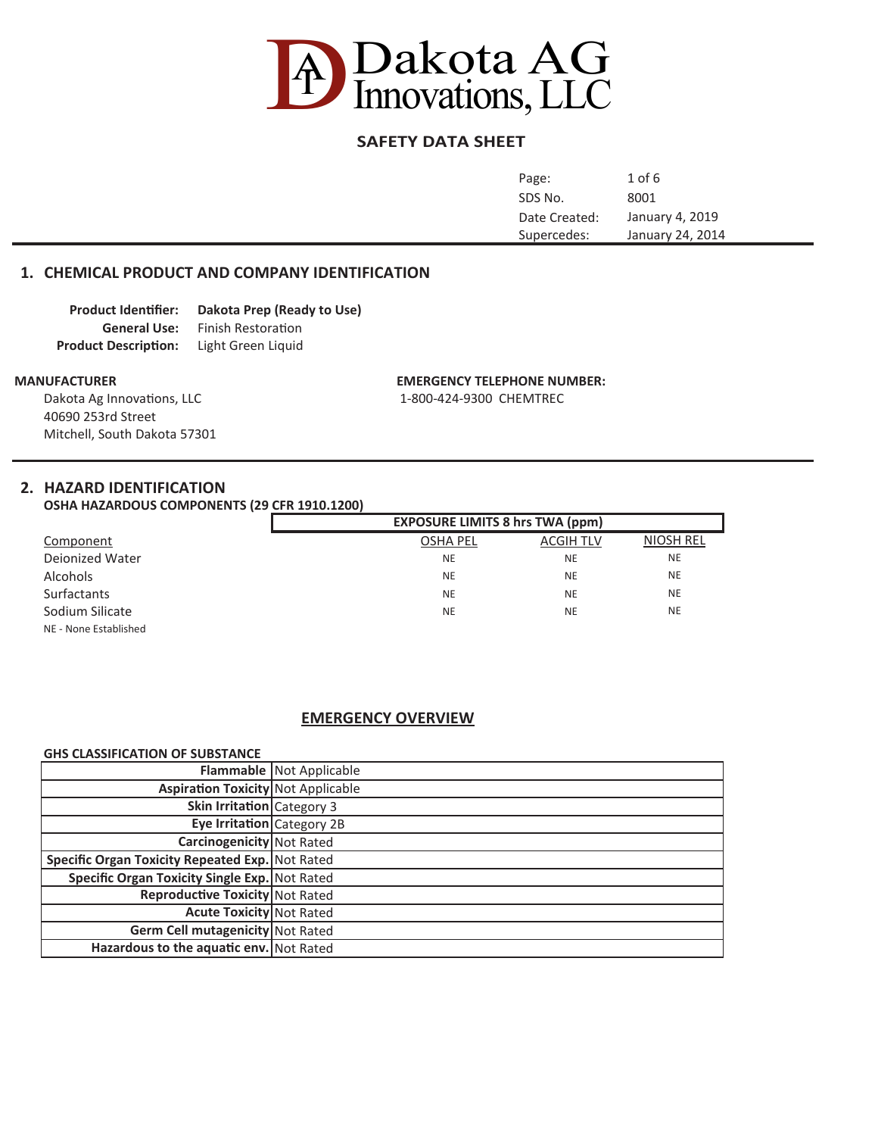

# **SAFETY DATA SHEET**

| Page:         | $1$ of $6$       |
|---------------|------------------|
| SDS No.       | 8001             |
| Date Created: | January 4, 2019  |
| Supercedes:   | January 24, 2014 |
|               |                  |

## **1. CHEMICAL PRODUCT AND COMPANY IDENTIFICATION**

| <b>Product Identifier:</b>  | Dakota Prep (Ready to Use) |
|-----------------------------|----------------------------|
| <b>General Use:</b>         | <b>Finish Restoration</b>  |
| <b>Product Description:</b> | Light Green Liquid         |

Dakota Ag Innovations, LLC 1-800-424-9300 CHEMTREC 40690 253rd Street Mitchell, South Dakota 57301

#### **MANUFACTURER EMERGENCY TELEPHONE NUMBER:**

## **2. HAZARD IDENTIFICATION**

**OSHA HAZARDOUS COMPONENTS (29 CFR 1910.1200)**

|                       | <b>EXPOSURE LIMITS 8 hrs TWA (ppm)</b> |                  |                  |
|-----------------------|----------------------------------------|------------------|------------------|
| Component             | <b>OSHA PEL</b>                        | <b>ACGIH TLV</b> | <b>NIOSH REL</b> |
| Dejonized Water       | <b>NE</b>                              | <b>NE</b>        | <b>NE</b>        |
| <b>Alcohols</b>       | <b>NE</b>                              | <b>NE</b>        | <b>NE</b>        |
| <b>Surfactants</b>    | <b>NE</b>                              | <b>NE</b>        | <b>NE</b>        |
| Sodium Silicate       | <b>NE</b>                              | <b>NE</b>        | <b>NE</b>        |
| NE - None Established |                                        |                  |                  |

## **EMERGENCY OVERVIEW**

#### **GHS CLASSIFICATION OF SUBSTANCE**

|                                                 | <b>Flammable   Not Applicable</b> |
|-------------------------------------------------|-----------------------------------|
| <b>Aspiration Toxicity</b> Not Applicable       |                                   |
| Skin Irritation Category 3                      |                                   |
| Eye Irritation Category 2B                      |                                   |
| <b>Carcinogenicity</b> Not Rated                |                                   |
| Specific Organ Toxicity Repeated Exp. Not Rated |                                   |
| Specific Organ Toxicity Single Exp. Not Rated   |                                   |
| <b>Reproductive Toxicity Not Rated</b>          |                                   |
| <b>Acute Toxicity</b> Not Rated                 |                                   |
| Germ Cell mutagenicity Not Rated                |                                   |
| Hazardous to the aquatic env. Not Rated         |                                   |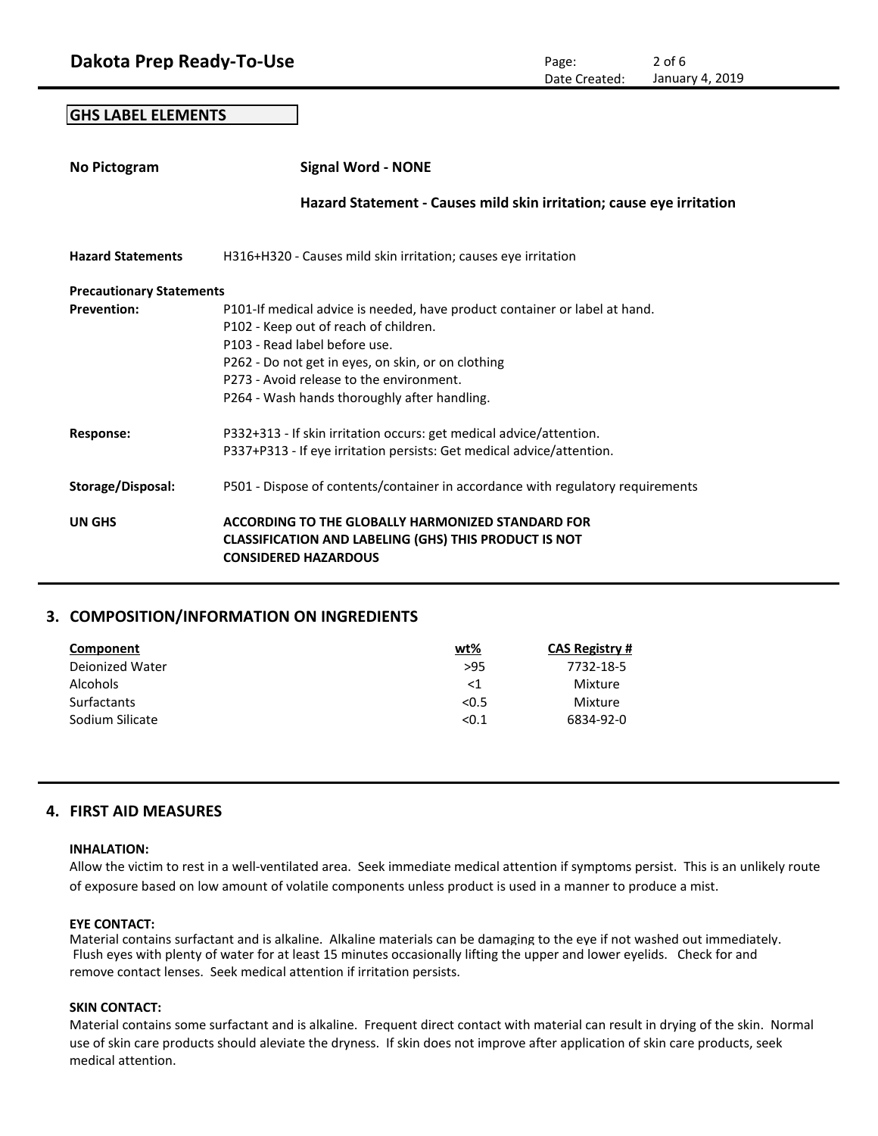**GHS LABEL ELEMENTS**

| No Pictogram                    | <b>Signal Word - NONE</b>                                                                                                                                                                                                                                                                              |
|---------------------------------|--------------------------------------------------------------------------------------------------------------------------------------------------------------------------------------------------------------------------------------------------------------------------------------------------------|
|                                 | Hazard Statement - Causes mild skin irritation; cause eye irritation                                                                                                                                                                                                                                   |
| <b>Hazard Statements</b>        | H316+H320 - Causes mild skin irritation; causes eye irritation                                                                                                                                                                                                                                         |
| <b>Precautionary Statements</b> |                                                                                                                                                                                                                                                                                                        |
| <b>Prevention:</b>              | P101-If medical advice is needed, have product container or label at hand.<br>P102 - Keep out of reach of children.<br>P103 - Read label before use.<br>P262 - Do not get in eyes, on skin, or on clothing<br>P273 - Avoid release to the environment.<br>P264 - Wash hands thoroughly after handling. |
| Response:                       | P332+313 - If skin irritation occurs: get medical advice/attention.<br>P337+P313 - If eye irritation persists: Get medical advice/attention.                                                                                                                                                           |
| Storage/Disposal:               | P501 - Dispose of contents/container in accordance with regulatory requirements                                                                                                                                                                                                                        |
| UN GHS                          | ACCORDING TO THE GLOBALLY HARMONIZED STANDARD FOR<br><b>CLASSIFICATION AND LABELING (GHS) THIS PRODUCT IS NOT</b><br><b>CONSIDERED HAZARDOUS</b>                                                                                                                                                       |

## **3. COMPOSITION/INFORMATION ON INGREDIENTS**

| Component          | <u>wt%</u> | <b>CAS Registry #</b> |
|--------------------|------------|-----------------------|
| Dejonized Water    | >95        | 7732-18-5             |
| <b>Alcohols</b>    | $<$ 1      | Mixture               |
| <b>Surfactants</b> | < 0.5      | Mixture               |
| Sodium Silicate    | < 0.1      | 6834-92-0             |

## **4. FIRST AID MEASURES**

## **INHALATION:**

Allow the victim to rest in a well-ventilated area. Seek immediate medical attention if symptoms persist. This is an unlikely route of exposure based on low amount of volatile components unless product is used in a manner to produce a mist.

#### **EYE CONTACT:**

Material contains surfactant and is alkaline. Alkaline materials can be damaging to the eye if not washed out immediately. Flush eyes with plenty of water for at least 15 minutes occasionally lifting the upper and lower eyelids. Check for and remove contact lenses. Seek medical attention if irritation persists.

## **SKIN CONTACT:**

Material contains some surfactant and is alkaline. Frequent direct contact with material can result in drying of the skin. Normal use of skin care products should aleviate the dryness. If skin does not improve after application of skin care products, seek medical attention.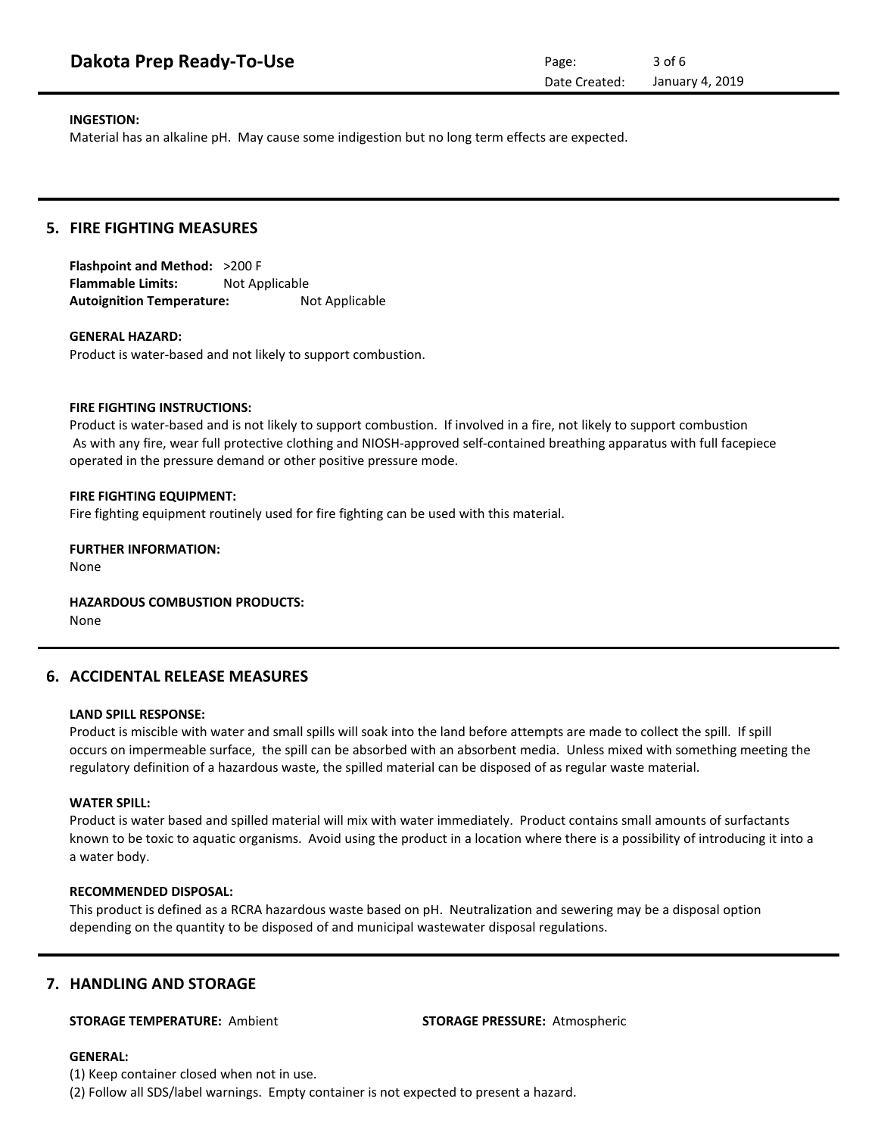| Dakota Prep Ready-To-Use | Page:         | $3$ of 6        |
|--------------------------|---------------|-----------------|
|                          | Date Created: | January 4, 2019 |

#### **INGESTION:**

Material has an alkaline pH. May cause some indigestion but no long term effects are expected.

## **5. FIRE FIGHTING MEASURES**

**Flashpoint and Method:** >200 F **Flammable Limits:** Not Applicable Autoignition Temperature: Not Applicable

#### **GENERAL HAZARD:**

Product is water-based and not likely to support combustion.

#### **FIRE FIGHTING INSTRUCTIONS:**

Product is water-based and is not likely to support combustion. If involved in a fire, not likely to support combustion As with any fire, wear full protective clothing and NIOSH-approved self-contained breathing apparatus with full facepiece operated in the pressure demand or other positive pressure mode.

#### **FIRE FIGHTING EQUIPMENT:**

Fire fighting equipment routinely used for fire fighting can be used with this material.

## **FURTHER INFORMATION:**

None

**HAZARDOUS COMBUSTION PRODUCTS:** None

## **6. ACCIDENTAL RELEASE MEASURES**

#### **LAND SPILL RESPONSE:**

Product is miscible with water and small spills will soak into the land before attempts are made to collect the spill. If spill occurs on impermeable surface, the spill can be absorbed with an absorbent media. Unless mixed with something meeting the regulatory definition of a hazardous waste, the spilled material can be disposed of as regular waste material.

#### **WATER SPILL:**

Product is water based and spilled material will mix with water immediately. Product contains small amounts of surfactants known to be toxic to aquatic organisms. Avoid using the product in a location where there is a possibility of introducing it into a a water body.

## **RECOMMENDED DISPOSAL:**

This product is defined as a RCRA hazardous waste based on pH. Neutralization and sewering may be a disposal option depending on the quantity to be disposed of and municipal wastewater disposal regulations.

## **7. HANDLING AND STORAGE**

#### **STORAGE TEMPERATURE:** Ambient **STORAGE PRESSURE:** Atmospheric

### **GENERAL:**

(1) Keep container closed when not in use.

(2) Follow all SDS/label warnings. Empty container is not expected to present a hazard.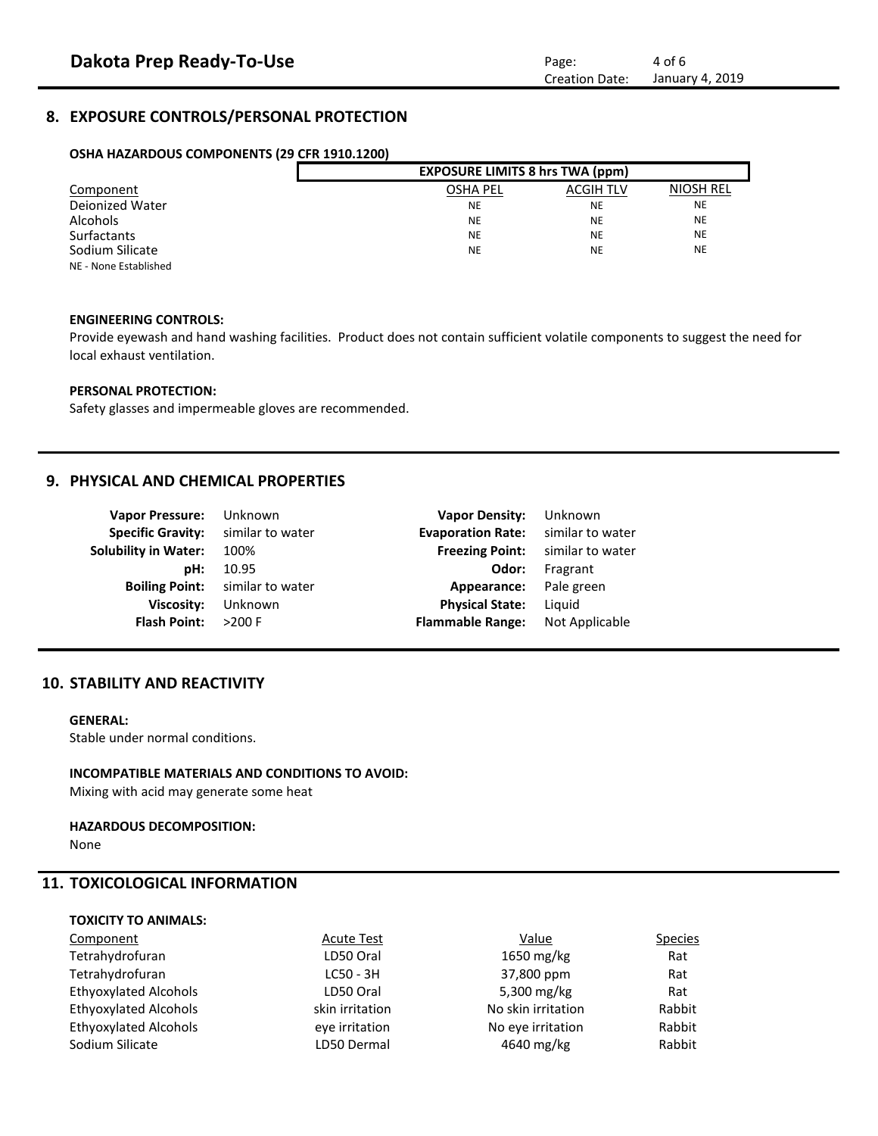# **8. EXPOSURE CONTROLS/PERSONAL PROTECTION**

## **OSHA HAZARDOUS COMPONENTS (29 CFR 1910.1200)**

|                       | <b>EXPOSURE LIMITS 8 hrs TWA (ppm)</b> |                  |                  |  |
|-----------------------|----------------------------------------|------------------|------------------|--|
| Component             | <b>OSHA PEL</b>                        | <b>ACGIH TLV</b> | <b>NIOSH REL</b> |  |
| Deionized Water       | <b>NE</b>                              | <b>NE</b>        | <b>NE</b>        |  |
| <b>Alcohols</b>       | <b>NE</b>                              | <b>NE</b>        | <b>NE</b>        |  |
| <b>Surfactants</b>    | <b>NE</b>                              | <b>NE</b>        | <b>NE</b>        |  |
| Sodium Silicate       | <b>NE</b>                              | <b>NE</b>        | <b>NE</b>        |  |
| NE - None Established |                                        |                  |                  |  |

## **ENGINEERING CONTROLS:**

Provide eyewash and hand washing facilities. Product does not contain sufficient volatile components to suggest the need for local exhaust ventilation.

#### **PERSONAL PROTECTION:**

Safety glasses and impermeable gloves are recommended.

## **9. PHYSICAL AND CHEMICAL PROPERTIES**

| <b>Vapor Pressure:</b><br><b>Specific Gravity:</b> | Unknown<br>similar to water | <b>Vapor Density:</b><br><b>Evaporation Rate:</b> | Unknown<br>similar to water |
|----------------------------------------------------|-----------------------------|---------------------------------------------------|-----------------------------|
|                                                    |                             |                                                   |                             |
| <b>Solubility in Water:</b>                        | 100%                        | <b>Freezing Point:</b>                            | similar to water            |
| pH:                                                | 10.95                       | Odor:                                             | Fragrant                    |
| <b>Boiling Point:</b>                              | similar to water            | Appearance:                                       | Pale green                  |
| <b>Viscosity:</b>                                  | Unknown                     | <b>Physical State:</b>                            | Liguid                      |
| <b>Flash Point:</b>                                | $>200$ F                    | <b>Flammable Range:</b>                           | Not Applicable              |

# **10. STABILITY AND REACTIVITY**

#### **GENERAL:**

Stable under normal conditions.

#### **INCOMPATIBLE MATERIALS AND CONDITIONS TO AVOID:**

Mixing with acid may generate some heat

#### **HAZARDOUS DECOMPOSITION:**

None

# **11. TOXICOLOGICAL INFORMATION**

# **TOXICITY TO ANIMALS:**

| Component                    | <b>Acute Test</b> | Value              | <b>Species</b> |
|------------------------------|-------------------|--------------------|----------------|
| Tetrahydrofuran              | LD50 Oral         | 1650 mg/kg         | Rat            |
| Tetrahydrofuran              | $LC50 - 3H$       | 37,800 ppm         | Rat            |
| <b>Ethyoxylated Alcohols</b> | LD50 Oral         | 5,300 mg/kg        | Rat            |
| <b>Ethyoxylated Alcohols</b> | skin irritation   | No skin irritation | Rabbit         |
| <b>Ethyoxylated Alcohols</b> | eve irritation    | No eye irritation  | Rabbit         |
| Sodium Silicate              | LD50 Dermal       | 4640 mg/kg         | Rabbit         |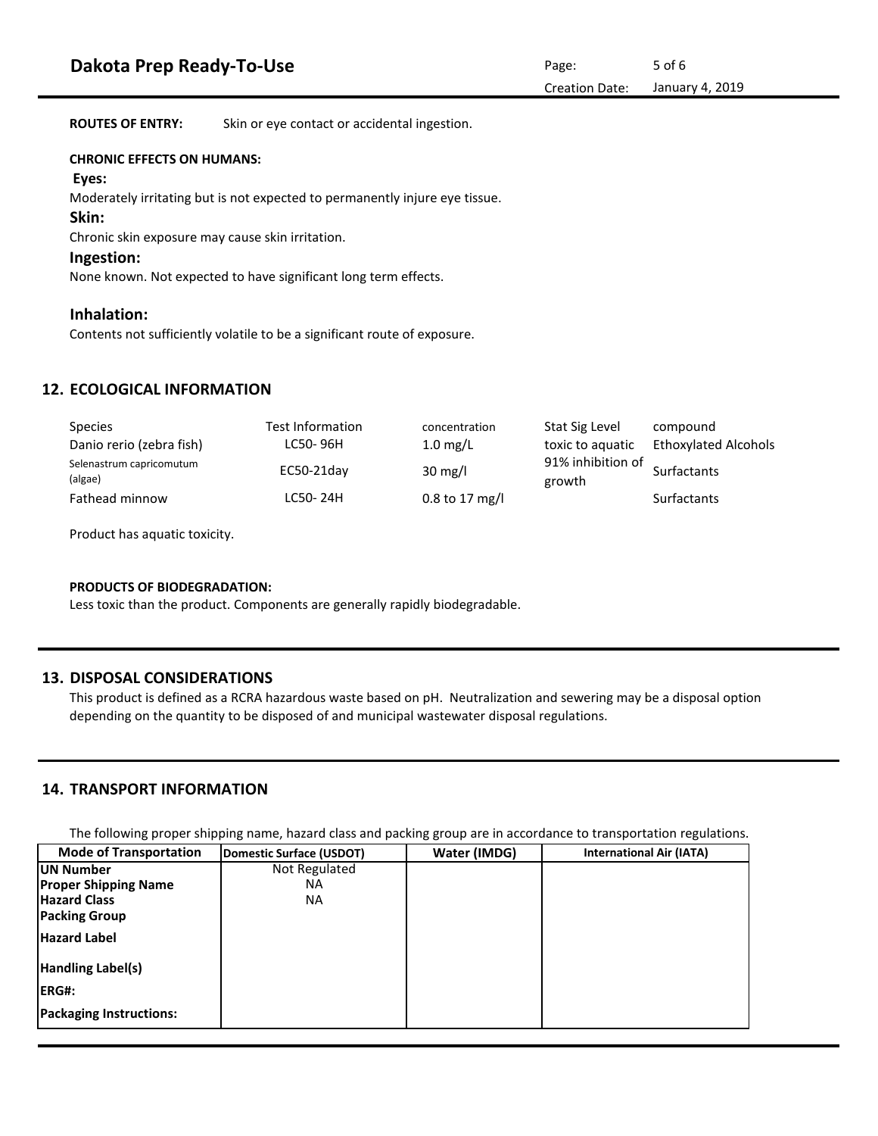**ROUTES OF ENTRY:** Skin or eye contact or accidental ingestion.

#### **CHRONIC EFFECTS ON HUMANS:**

#### **Eyes:**

Moderately irritating but is not expected to permanently injure eye tissue.

#### **Skin:**

Chronic skin exposure may cause skin irritation.

## **Ingestion:**

None known. Not expected to have significant long term effects.

## **Inhalation:**

Contents not sufficiently volatile to be a significant route of exposure.

# **12. ECOLOGICAL INFORMATION**

| <b>Species</b>                      | Test Information | concentration      | Stat Sig Level              | compound             |
|-------------------------------------|------------------|--------------------|-----------------------------|----------------------|
| Danio rerio (zebra fish)            | LC50-96H         | $1.0 \text{ mg/L}$ | toxic to aquatic            | Ethoxylated Alcohols |
| Selenastrum capricomutum<br>(algae) | EC50-21day       | $30 \text{ mg/l}$  | 91% inhibition of<br>growth | Surfactants          |
| Fathead minnow                      | LC50-24H         | $0.8$ to 17 mg/l   |                             | <b>Surfactants</b>   |

Product has aquatic toxicity.

## **PRODUCTS OF BIODEGRADATION:**

Less toxic than the product. Components are generally rapidly biodegradable.

# **13. DISPOSAL CONSIDERATIONS**

This product is defined as a RCRA hazardous waste based on pH. Neutralization and sewering may be a disposal option depending on the quantity to be disposed of and municipal wastewater disposal regulations.

# **14. TRANSPORT INFORMATION**

The following proper shipping name, hazard class and packing group are in accordance to transportation regulations.

| <b>Mode of Transportation</b>  | <b>Domestic Surface (USDOT)</b> | Water (IMDG) | <b>International Air (IATA)</b> |
|--------------------------------|---------------------------------|--------------|---------------------------------|
| <b>IUN Number</b>              | Not Regulated                   |              |                                 |
| <b>Proper Shipping Name</b>    | ΝA                              |              |                                 |
| <b>Hazard Class</b>            | ΝA                              |              |                                 |
| <b>Packing Group</b>           |                                 |              |                                 |
| <b>Hazard Label</b>            |                                 |              |                                 |
| <b>Handling Label(s)</b>       |                                 |              |                                 |
| <b>IERG#:</b>                  |                                 |              |                                 |
| <b>Packaging Instructions:</b> |                                 |              |                                 |